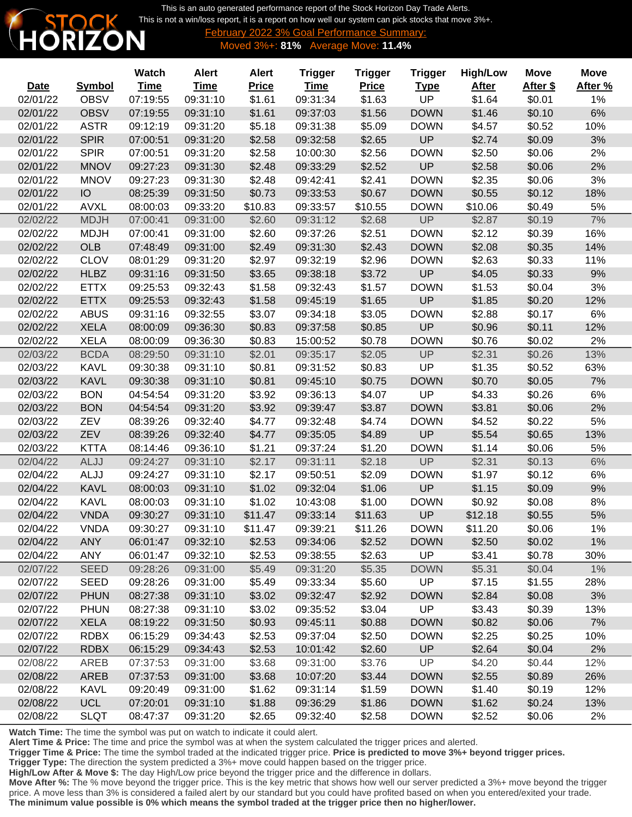This is an auto generated performance report of the Stock Horizon Day Trade Alerts. [This is not a win/loss report, it is a report on how well our system can pick stocks that move 3%+.](http://www.stockhorizon.com)



February 2022 3% Goal Performance Summary: Moved 3%+: **81%** Average Move: **11.4%**

|             |               | <b>Watch</b> | <b>Alert</b> | <b>Alert</b> | <b>Trigger</b> | <b>Trigger</b> | <b>Trigger</b> | <b>High/Low</b> | <b>Move</b> | <b>Move</b> |
|-------------|---------------|--------------|--------------|--------------|----------------|----------------|----------------|-----------------|-------------|-------------|
| <b>Date</b> | <b>Symbol</b> | <b>Time</b>  | <b>Time</b>  | <b>Price</b> | <b>Time</b>    | <b>Price</b>   | <b>Type</b>    | <b>After</b>    | After \$    | After %     |
| 02/01/22    | <b>OBSV</b>   | 07:19:55     | 09:31:10     | \$1.61       | 09:31:34       | \$1.63         | UP             | \$1.64          | \$0.01      | 1%          |
| 02/01/22    | <b>OBSV</b>   | 07:19:55     | 09:31:10     | \$1.61       | 09:37:03       | \$1.56         | <b>DOWN</b>    | \$1.46          | \$0.10      | 6%          |
| 02/01/22    | <b>ASTR</b>   | 09:12:19     | 09:31:20     | \$5.18       | 09:31:38       | \$5.09         | <b>DOWN</b>    | \$4.57          | \$0.52      | 10%         |
| 02/01/22    | <b>SPIR</b>   | 07:00:51     | 09:31:20     | \$2.58       | 09:32:58       | \$2.65         | UP             | \$2.74          | \$0.09      | 3%          |
| 02/01/22    | <b>SPIR</b>   | 07:00:51     | 09:31:20     | \$2.58       | 10:00:30       | \$2.56         | <b>DOWN</b>    | \$2.50          | \$0.06      | 2%          |
| 02/01/22    | <b>MNOV</b>   | 09:27:23     | 09:31:30     | \$2.48       | 09:33:29       | \$2.52         | UP             | \$2.58          | \$0.06      | 2%          |
| 02/01/22    | <b>MNOV</b>   | 09:27:23     | 09:31:30     | \$2.48       | 09:42:41       | \$2.41         | <b>DOWN</b>    | \$2.35          | \$0.06      | 3%          |
| 02/01/22    | IO            | 08:25:39     | 09:31:50     | \$0.73       | 09:33:53       | \$0.67         | <b>DOWN</b>    | \$0.55          | \$0.12      | 18%         |
| 02/01/22    | <b>AVXL</b>   | 08:00:03     | 09:33:20     | \$10.83      | 09:33:57       | \$10.55        | <b>DOWN</b>    | \$10.06         | \$0.49      | 5%          |
| 02/02/22    | <b>MDJH</b>   | 07:00:41     | 09:31:00     | \$2.60       | 09:31:12       | \$2.68         | UP             | \$2.87          | \$0.19      | 7%          |
| 02/02/22    | <b>MDJH</b>   | 07:00:41     | 09:31:00     | \$2.60       | 09:37:26       | \$2.51         | <b>DOWN</b>    | \$2.12          | \$0.39      | 16%         |
| 02/02/22    | <b>OLB</b>    | 07:48:49     | 09:31:00     | \$2.49       | 09:31:30       | \$2.43         | <b>DOWN</b>    | \$2.08          | \$0.35      | 14%         |
| 02/02/22    | <b>CLOV</b>   | 08:01:29     | 09:31:20     | \$2.97       | 09:32:19       | \$2.96         | <b>DOWN</b>    | \$2.63          | \$0.33      | 11%         |
| 02/02/22    | <b>HLBZ</b>   | 09:31:16     | 09:31:50     | \$3.65       | 09:38:18       | \$3.72         | UP             | \$4.05          | \$0.33      | 9%          |
| 02/02/22    | <b>ETTX</b>   | 09:25:53     | 09:32:43     | \$1.58       | 09:32:43       | \$1.57         | <b>DOWN</b>    | \$1.53          | \$0.04      | 3%          |
| 02/02/22    | <b>ETTX</b>   | 09:25:53     | 09:32:43     | \$1.58       | 09:45:19       | \$1.65         | UP             | \$1.85          | \$0.20      | 12%         |
| 02/02/22    | <b>ABUS</b>   | 09:31:16     | 09:32:55     | \$3.07       | 09:34:18       | \$3.05         | <b>DOWN</b>    | \$2.88          | \$0.17      | 6%          |
| 02/02/22    | <b>XELA</b>   | 08:00:09     | 09:36:30     | \$0.83       | 09:37:58       | \$0.85         | UP             | \$0.96          | \$0.11      | 12%         |
| 02/02/22    | <b>XELA</b>   | 08:00:09     | 09:36:30     | \$0.83       | 15:00:52       | \$0.78         | <b>DOWN</b>    | \$0.76          | \$0.02      | 2%          |
| 02/03/22    | <b>BCDA</b>   | 08:29:50     | 09:31:10     | \$2.01       | 09:35:17       | \$2.05         | UP             | \$2.31          | \$0.26      | 13%         |
| 02/03/22    | <b>KAVL</b>   | 09:30:38     | 09:31:10     | \$0.81       | 09:31:52       | \$0.83         | UP             | \$1.35          | \$0.52      | 63%         |
| 02/03/22    | <b>KAVL</b>   | 09:30:38     | 09:31:10     | \$0.81       | 09:45:10       | \$0.75         | <b>DOWN</b>    | \$0.70          | \$0.05      | 7%          |
| 02/03/22    | <b>BON</b>    | 04:54:54     | 09:31:20     | \$3.92       | 09:36:13       | \$4.07         | UP             | \$4.33          | \$0.26      | 6%          |
| 02/03/22    | <b>BON</b>    | 04:54:54     | 09:31:20     | \$3.92       | 09:39:47       | \$3.87         | <b>DOWN</b>    | \$3.81          | \$0.06      | 2%          |
| 02/03/22    | ZEV           | 08:39:26     | 09:32:40     | \$4.77       | 09:32:48       | \$4.74         | <b>DOWN</b>    | \$4.52          | \$0.22      | 5%          |
| 02/03/22    | ZEV           | 08:39:26     | 09:32:40     | \$4.77       | 09:35:05       | \$4.89         | UP             | \$5.54          | \$0.65      | 13%         |
| 02/03/22    | <b>KTTA</b>   | 08:14:46     | 09:36:10     | \$1.21       | 09:37:24       | \$1.20         | <b>DOWN</b>    | \$1.14          | \$0.06      | 5%          |
| 02/04/22    | ALJJ          | 09:24:27     | 09:31:10     | \$2.17       | 09:31:11       | \$2.18         | UP             | \$2.31          | \$0.13      | 6%          |
| 02/04/22    | ALJJ          | 09:24:27     | 09:31:10     | \$2.17       | 09:50:51       | \$2.09         | <b>DOWN</b>    | \$1.97          | \$0.12      | 6%          |
| 02/04/22    | <b>KAVL</b>   | 08:00:03     | 09:31:10     | \$1.02       | 09:32:04       | \$1.06         | UP             | \$1.15          | \$0.09      | 9%          |
| 02/04/22    | <b>KAVL</b>   | 08:00:03     | 09:31:10     | \$1.02       | 10:43:08       | \$1.00         | <b>DOWN</b>    | \$0.92          | \$0.08      | 8%          |
| 02/04/22    | <b>VNDA</b>   | 09:30:27     | 09:31:10     | \$11.47      | 09:33:14       | \$11.63        | <b>UP</b>      | \$12.18         | \$0.55      | 5%          |
| 02/04/22    | <b>VNDA</b>   | 09:30:27     | 09:31:10     | \$11.47      | 09:39:21       | \$11.26        | <b>DOWN</b>    | \$11.20         | \$0.06      | 1%          |
| 02/04/22    | <b>ANY</b>    | 06:01:47     | 09:32:10     | \$2.53       | 09:34:06       | \$2.52         | <b>DOWN</b>    | \$2.50          | \$0.02      | 1%          |
| 02/04/22    | <b>ANY</b>    | 06:01:47     | 09:32:10     | \$2.53       | 09:38:55       | \$2.63         | UP             | \$3.41          | \$0.78      | 30%         |
| 02/07/22    | <b>SEED</b>   | 09:28:26     | 09:31:00     | \$5.49       | 09:31:20       | \$5.35         | <b>DOWN</b>    | \$5.31          | \$0.04      | $1\%$       |
| 02/07/22    | <b>SEED</b>   | 09:28:26     | 09:31:00     | \$5.49       | 09:33:34       | \$5.60         | <b>UP</b>      | \$7.15          | \$1.55      | 28%         |
| 02/07/22    | <b>PHUN</b>   | 08:27:38     | 09:31:10     | \$3.02       | 09:32:47       | \$2.92         | <b>DOWN</b>    | \$2.84          | \$0.08      | 3%          |
| 02/07/22    | <b>PHUN</b>   | 08:27:38     | 09:31:10     | \$3.02       | 09:35:52       | \$3.04         | UP             | \$3.43          | \$0.39      | 13%         |
| 02/07/22    | <b>XELA</b>   | 08:19:22     | 09:31:50     | \$0.93       | 09:45:11       | \$0.88         | <b>DOWN</b>    | \$0.82          | \$0.06      | 7%          |
| 02/07/22    | <b>RDBX</b>   | 06:15:29     | 09:34:43     | \$2.53       | 09:37:04       | \$2.50         | <b>DOWN</b>    | \$2.25          | \$0.25      | 10%         |
| 02/07/22    | <b>RDBX</b>   | 06:15:29     | 09:34:43     | \$2.53       | 10:01:42       | \$2.60         | <b>UP</b>      | \$2.64          | \$0.04      | 2%          |
| 02/08/22    | AREB          | 07:37:53     | 09:31:00     | \$3.68       | 09:31:00       | \$3.76         | <b>UP</b>      | \$4.20          | \$0.44      | 12%         |
| 02/08/22    | <b>AREB</b>   | 07:37:53     | 09:31:00     | \$3.68       | 10:07:20       | \$3.44         | <b>DOWN</b>    | \$2.55          | \$0.89      | 26%         |
| 02/08/22    | <b>KAVL</b>   | 09:20:49     | 09:31:00     | \$1.62       | 09:31:14       | \$1.59         | <b>DOWN</b>    | \$1.40          | \$0.19      | 12%         |
| 02/08/22    | <b>UCL</b>    | 07:20:01     | 09:31:10     | \$1.88       | 09:36:29       | \$1.86         | <b>DOWN</b>    | \$1.62          | \$0.24      | 13%         |
| 02/08/22    | <b>SLQT</b>   | 08:47:37     | 09:31:20     | \$2.65       | 09:32:40       | \$2.58         | <b>DOWN</b>    | \$2.52          | \$0.06      | 2%          |
|             |               |              |              |              |                |                |                |                 |             |             |

**Watch Time:** The time the symbol was put on watch to indicate it could alert.

**Alert Time & Price:** The time and price the symbol was at when the system calculated the trigger prices and alerted.

**Trigger Time & Price:** The time the symbol traded at the indicated trigger price. **Price is predicted to move 3%+ beyond trigger prices.**

**Trigger Type:** The direction the system predicted a 3%+ move could happen based on the trigger price.

**High/Low After & Move \$:** The day High/Low price beyond the trigger price and the difference in dollars.

**Move After %:** The % move beyond the trigger price. This is the key metric that shows how well our server predicted a 3%+ move beyond the trigger price. A move less than 3% is considered a failed alert by our standard but you could have profited based on when you entered/exited your trade. **The minimum value possible is 0% which means the symbol traded at the trigger price then no higher/lower.**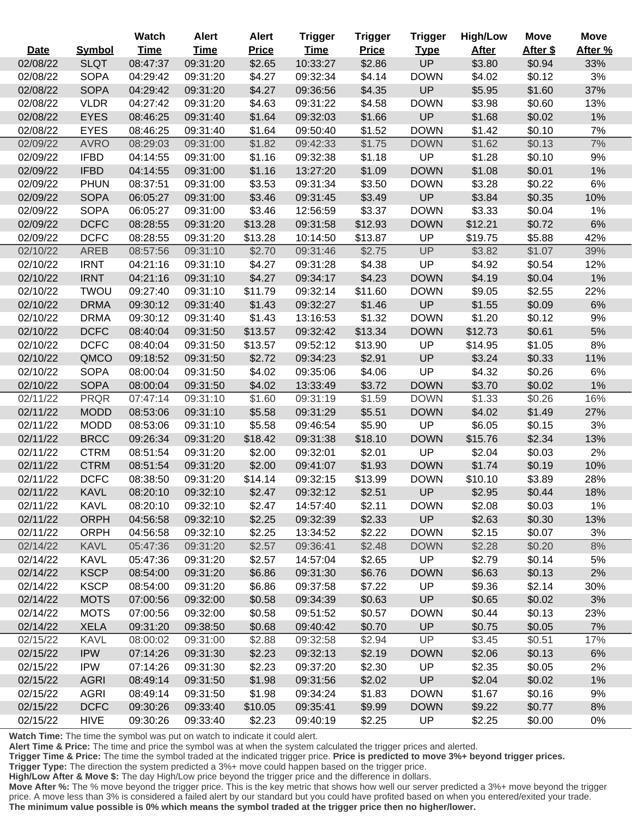|             |               | Watch       | <b>Alert</b> | <b>Alert</b> | <b>Trigger</b> | <b>Trigger</b> | <b>Trigger</b> | <b>High/Low</b> | <b>Move</b> | <b>Move</b> |
|-------------|---------------|-------------|--------------|--------------|----------------|----------------|----------------|-----------------|-------------|-------------|
| <b>Date</b> | <b>Symbol</b> | <b>Time</b> | <b>Time</b>  | <b>Price</b> | <b>Time</b>    | <b>Price</b>   | <b>Type</b>    | <b>After</b>    | After \$    | After %     |
| 02/08/22    | <b>SLQT</b>   | 08:47:37    | 09:31:20     | \$2.65       | 10:33:27       | \$2.86         | UP             | \$3.80          | \$0.94      | 33%         |
| 02/08/22    | <b>SOPA</b>   | 04:29:42    | 09:31:20     | \$4.27       | 09:32:34       | \$4.14         | <b>DOWN</b>    | \$4.02          | \$0.12      | 3%          |
| 02/08/22    | <b>SOPA</b>   | 04:29:42    | 09:31:20     | \$4.27       | 09:36:56       | \$4.35         | UP             | \$5.95          | \$1.60      | 37%         |
| 02/08/22    | <b>VLDR</b>   | 04:27:42    | 09:31:20     | \$4.63       | 09:31:22       | \$4.58         | <b>DOWN</b>    | \$3.98          | \$0.60      | 13%         |
| 02/08/22    | <b>EYES</b>   | 08:46:25    | 09:31:40     | \$1.64       | 09:32:03       | \$1.66         | UP             | \$1.68          | \$0.02      | 1%          |
| 02/08/22    | <b>EYES</b>   | 08:46:25    | 09:31:40     | \$1.64       | 09:50:40       | \$1.52         | <b>DOWN</b>    | \$1.42          | \$0.10      | 7%          |
| 02/09/22    | <b>AVRO</b>   | 08:29:03    | 09:31:00     | \$1.82       | 09:42:33       | \$1.75         | <b>DOWN</b>    | \$1.62          | \$0.13      | 7%          |
| 02/09/22    | <b>IFBD</b>   | 04:14:55    | 09:31:00     | \$1.16       | 09:32:38       | \$1.18         | UP             | \$1.28          | \$0.10      | 9%          |
| 02/09/22    | <b>IFBD</b>   | 04:14:55    | 09:31:00     | \$1.16       | 13:27:20       | \$1.09         | <b>DOWN</b>    | \$1.08          | \$0.01      | 1%          |
| 02/09/22    | <b>PHUN</b>   | 08:37:51    | 09:31:00     | \$3.53       | 09:31:34       | \$3.50         | <b>DOWN</b>    | \$3.28          | \$0.22      | 6%          |
| 02/09/22    | <b>SOPA</b>   | 06:05:27    | 09:31:00     | \$3.46       | 09:31:45       | \$3.49         | UP             | \$3.84          | \$0.35      | 10%         |
| 02/09/22    | <b>SOPA</b>   | 06:05:27    | 09:31:00     | \$3.46       | 12:56:59       | \$3.37         | <b>DOWN</b>    | \$3.33          | \$0.04      | 1%          |
| 02/09/22    | <b>DCFC</b>   | 08:28:55    | 09:31:20     | \$13.28      | 09:31:58       | \$12.93        | <b>DOWN</b>    | \$12.21         | \$0.72      | 6%          |
| 02/09/22    | <b>DCFC</b>   | 08:28:55    | 09:31:20     | \$13.28      | 10:14:50       | \$13.87        | UP             | \$19.75         | \$5.88      | 42%         |
| 02/10/22    | <b>AREB</b>   | 08:57:56    | 09:31:10     | \$2.70       | 09:31:46       | \$2.75         | UP             | \$3.82          | \$1.07      | 39%         |
| 02/10/22    | <b>IRNT</b>   | 04:21:16    | 09:31:10     | \$4.27       | 09:31:28       | \$4.38         | UP             | \$4.92          | \$0.54      | 12%         |
| 02/10/22    | <b>IRNT</b>   | 04:21:16    | 09:31:10     | \$4.27       | 09:34:17       | \$4.23         | <b>DOWN</b>    | \$4.19          | \$0.04      | 1%          |
| 02/10/22    | <b>TWOU</b>   | 09:27:40    | 09:31:10     | \$11.79      | 09:32:14       | \$11.60        | <b>DOWN</b>    | \$9.05          | \$2.55      | 22%         |
| 02/10/22    | <b>DRMA</b>   | 09:30:12    | 09:31:40     | \$1.43       | 09:32:27       | \$1.46         | UP             | \$1.55          | \$0.09      | 6%          |
| 02/10/22    | <b>DRMA</b>   | 09:30:12    | 09:31:40     | \$1.43       | 13:16:53       | \$1.32         | <b>DOWN</b>    | \$1.20          | \$0.12      | 9%          |
| 02/10/22    | <b>DCFC</b>   | 08:40:04    | 09:31:50     | \$13.57      | 09:32:42       | \$13.34        | <b>DOWN</b>    | \$12.73         | \$0.61      | 5%          |
| 02/10/22    | <b>DCFC</b>   | 08:40:04    | 09:31:50     | \$13.57      | 09:52:12       | \$13.90        | UP             | \$14.95         | \$1.05      | 8%          |
| 02/10/22    | QMCO          | 09:18:52    | 09:31:50     | \$2.72       | 09:34:23       | \$2.91         | UP             | \$3.24          | \$0.33      | 11%         |
| 02/10/22    | <b>SOPA</b>   | 08:00:04    | 09:31:50     | \$4.02       | 09:35:06       | \$4.06         | UP             | \$4.32          | \$0.26      | 6%          |
| 02/10/22    | <b>SOPA</b>   | 08:00:04    | 09:31:50     | \$4.02       | 13:33:49       | \$3.72         | <b>DOWN</b>    | \$3.70          | \$0.02      | 1%          |
| 02/11/22    | <b>PRQR</b>   | 07:47:14    | 09:31:10     | \$1.60       | 09:31:19       | \$1.59         | <b>DOWN</b>    | \$1.33          | \$0.26      | 16%         |
| 02/11/22    | <b>MODD</b>   | 08:53:06    | 09:31:10     | \$5.58       | 09:31:29       | \$5.51         | <b>DOWN</b>    | \$4.02          | \$1.49      | 27%         |
| 02/11/22    | <b>MODD</b>   | 08:53:06    | 09:31:10     | \$5.58       | 09:46:54       | \$5.90         | UP             | \$6.05          | \$0.15      | 3%          |
| 02/11/22    | <b>BRCC</b>   | 09:26:34    | 09:31:20     | \$18.42      | 09:31:38       | \$18.10        | <b>DOWN</b>    | \$15.76         | \$2.34      | 13%         |
| 02/11/22    | <b>CTRM</b>   | 08:51:54    | 09:31:20     | \$2.00       | 09:32:01       | \$2.01         | UP             | \$2.04          | \$0.03      | 2%          |
| 02/11/22    | <b>CTRM</b>   | 08:51:54    | 09:31:20     | \$2.00       | 09:41:07       | \$1.93         | <b>DOWN</b>    | \$1.74          | \$0.19      | 10%         |
| 02/11/22    | <b>DCFC</b>   | 08:38:50    | 09:31:20     | \$14.14      | 09:32:15       | \$13.99        | <b>DOWN</b>    | \$10.10         | \$3.89      | 28%         |
| 02/11/22    | <b>KAVL</b>   | 08:20:10    | 09:32:10     | \$2.47       | 09:32:12       | \$2.51         | UP             | \$2.95          | \$0.44      | 18%         |
| 02/11/22    | <b>KAVL</b>   | 08:20:10    | 09:32:10     | \$2.47       | 14:57:40       | \$2.11         | <b>DOWN</b>    | \$2.08          | \$0.03      | 1%          |
| 02/11/22    | <b>ORPH</b>   | 04:56:58    | 09:32:10     | \$2.25       | 09:32:39       | \$2.33         | UP             | \$2.63          | \$0.30      | 13%         |
| 02/11/22    | <b>ORPH</b>   | 04:56:58    | 09:32:10     | \$2.25       | 13:34:52       | \$2.22         | <b>DOWN</b>    | \$2.15          | \$0.07      | 3%          |
| 02/14/22    | <b>KAVL</b>   | 05:47:36    | 09:31:20     | \$2.57       | 09:36:41       | \$2.48         | <b>DOWN</b>    | \$2.28          | \$0.20      | 8%          |
| 02/14/22    | <b>KAVL</b>   | 05:47:36    | 09:31:20     | \$2.57       | 14:57:04       | \$2.65         | <b>UP</b>      | \$2.79          | \$0.14      | 5%          |
| 02/14/22    | <b>KSCP</b>   | 08:54:00    | 09:31:20     | \$6.86       | 09:31:30       | \$6.76         | <b>DOWN</b>    | \$6.63          | \$0.13      | 2%          |
| 02/14/22    | <b>KSCP</b>   | 08:54:00    | 09:31:20     | \$6.86       | 09:37:58       | \$7.22         | <b>UP</b>      | \$9.36          | \$2.14      | 30%         |
| 02/14/22    | <b>MOTS</b>   | 07:00:56    | 09:32:00     | \$0.58       | 09:34:39       | \$0.63         | UP             | \$0.65          | \$0.02      | 3%          |
| 02/14/22    | <b>MOTS</b>   | 07:00:56    | 09:32:00     | \$0.58       | 09:51:52       | \$0.57         | <b>DOWN</b>    | \$0.44          | \$0.13      | 23%         |
| 02/14/22    | <b>XELA</b>   | 09:31:20    | 09:38:50     | \$0.68       | 09:40:42       | \$0.70         | UP             | \$0.75          | \$0.05      | 7%          |
| 02/15/22    | <b>KAVL</b>   | 08:00:02    | 09:31:00     | \$2.88       | 09:32:58       | \$2.94         | UP             | \$3.45          | \$0.51      | 17%         |
| 02/15/22    | <b>IPW</b>    | 07:14:26    | 09:31:30     | \$2.23       | 09:32:13       | \$2.19         | <b>DOWN</b>    | \$2.06          | \$0.13      | 6%          |
| 02/15/22    | <b>IPW</b>    | 07:14:26    | 09:31:30     | \$2.23       | 09:37:20       | \$2.30         | <b>UP</b>      | \$2.35          | \$0.05      | 2%          |
| 02/15/22    | <b>AGRI</b>   | 08:49:14    | 09:31:50     | \$1.98       | 09:31:56       | \$2.02         | UP             | \$2.04          | \$0.02      | 1%          |
| 02/15/22    | <b>AGRI</b>   | 08:49:14    | 09:31:50     | \$1.98       | 09:34:24       | \$1.83         | <b>DOWN</b>    | \$1.67          | \$0.16      | 9%          |
| 02/15/22    | <b>DCFC</b>   | 09:30:26    | 09:33:40     | \$10.05      | 09:35:41       | \$9.99         | <b>DOWN</b>    | \$9.22          | \$0.77      | 8%          |
| 02/15/22    | <b>HIVE</b>   | 09:30:26    | 09:33:40     | \$2.23       | 09:40:19       | \$2.25         | UP             | \$2.25          | \$0.00      | 0%          |

**Watch Time:** The time the symbol was put on watch to indicate it could alert.

**Alert Time & Price:** The time and price the symbol was at when the system calculated the trigger prices and alerted.

**Trigger Time & Price:** The time the symbol traded at the indicated trigger price. **Price is predicted to move 3%+ beyond trigger prices.**

**Trigger Type:** The direction the system predicted a 3%+ move could happen based on the trigger price.

**High/Low After & Move \$:** The day High/Low price beyond the trigger price and the difference in dollars.

**Move After %:** The % move beyond the trigger price. This is the key metric that shows how well our server predicted a 3%+ move beyond the trigger price. A move less than 3% is considered a failed alert by our standard but you could have profited based on when you entered/exited your trade. **The minimum value possible is 0% which means the symbol traded at the trigger price then no higher/lower.**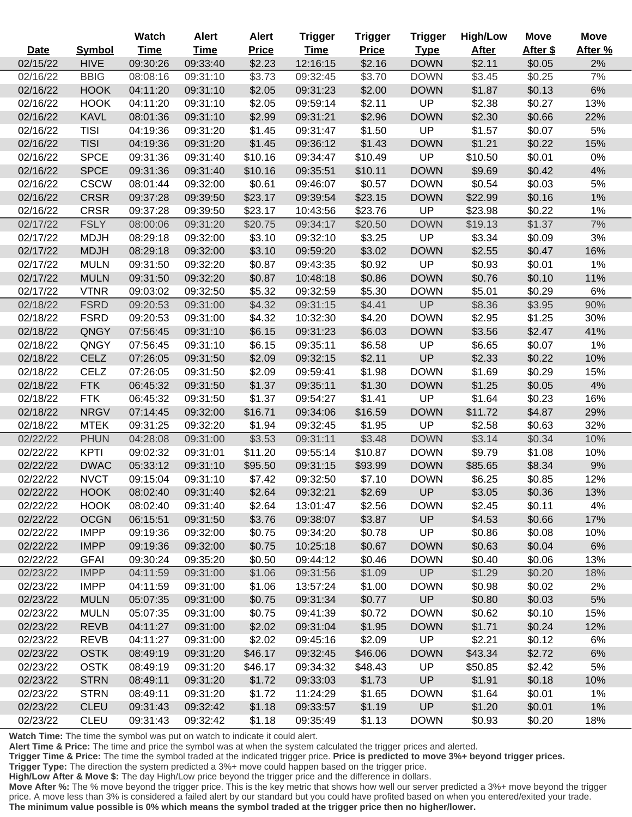|             |               | <b>Watch</b> | <b>Alert</b> | <b>Alert</b> | <b>Trigger</b> | <b>Trigger</b> | <b>Trigger</b> | <b>High/Low</b> | <b>Move</b> | <b>Move</b> |
|-------------|---------------|--------------|--------------|--------------|----------------|----------------|----------------|-----------------|-------------|-------------|
| <b>Date</b> | <b>Symbol</b> | <b>Time</b>  | <b>Time</b>  | <b>Price</b> | <b>Time</b>    | <b>Price</b>   | <b>Type</b>    | <b>After</b>    | After \$    | After %     |
| 02/15/22    | <b>HIVE</b>   | 09:30:26     | 09:33:40     | \$2.23       | 12:16:15       | \$2.16         | <b>DOWN</b>    | \$2.11          | \$0.05      | 2%          |
| 02/16/22    | <b>BBIG</b>   | 08:08:16     | 09:31:10     | \$3.73       | 09:32:45       | \$3.70         | <b>DOWN</b>    | \$3.45          | \$0.25      | 7%          |
| 02/16/22    | <b>HOOK</b>   | 04:11:20     | 09:31:10     | \$2.05       | 09:31:23       | \$2.00         | <b>DOWN</b>    | \$1.87          | \$0.13      | 6%          |
| 02/16/22    | <b>HOOK</b>   | 04:11:20     | 09:31:10     | \$2.05       | 09:59:14       | \$2.11         | UP             | \$2.38          | \$0.27      | 13%         |
| 02/16/22    | <b>KAVL</b>   | 08:01:36     | 09:31:10     | \$2.99       | 09:31:21       | \$2.96         | <b>DOWN</b>    | \$2.30          | \$0.66      | 22%         |
| 02/16/22    | <b>TISI</b>   | 04:19:36     | 09:31:20     | \$1.45       | 09:31:47       | \$1.50         | UP             | \$1.57          | \$0.07      | 5%          |
| 02/16/22    | <b>TISI</b>   | 04:19:36     | 09:31:20     | \$1.45       | 09:36:12       | \$1.43         | <b>DOWN</b>    | \$1.21          | \$0.22      | 15%         |
| 02/16/22    | <b>SPCE</b>   | 09:31:36     | 09:31:40     | \$10.16      | 09:34:47       | \$10.49        | UP             | \$10.50         | \$0.01      | $0\%$       |
| 02/16/22    | <b>SPCE</b>   | 09:31:36     | 09:31:40     | \$10.16      | 09:35:51       | \$10.11        | <b>DOWN</b>    | \$9.69          | \$0.42      | 4%          |
| 02/16/22    | <b>CSCW</b>   | 08:01:44     | 09:32:00     | \$0.61       | 09:46:07       | \$0.57         | <b>DOWN</b>    | \$0.54          | \$0.03      | 5%          |
| 02/16/22    | <b>CRSR</b>   | 09:37:28     | 09:39:50     | \$23.17      | 09:39:54       | \$23.15        | <b>DOWN</b>    | \$22.99         | \$0.16      | 1%          |
| 02/16/22    | <b>CRSR</b>   | 09:37:28     | 09:39:50     | \$23.17      | 10:43:56       | \$23.76        | UP             | \$23.98         | \$0.22      | 1%          |
| 02/17/22    | <b>FSLY</b>   | 08:00:06     | 09:31:20     | \$20.75      | 09:34:17       | \$20.50        | <b>DOWN</b>    | \$19.13         | \$1.37      | 7%          |
| 02/17/22    | <b>MDJH</b>   | 08:29:18     | 09:32:00     | \$3.10       | 09:32:10       | \$3.25         | UP             | \$3.34          | \$0.09      | 3%          |
| 02/17/22    | <b>MDJH</b>   | 08:29:18     | 09:32:00     | \$3.10       | 09:59:20       | \$3.02         | <b>DOWN</b>    | \$2.55          | \$0.47      | 16%         |
| 02/17/22    | <b>MULN</b>   | 09:31:50     | 09:32:20     | \$0.87       | 09:43:35       | \$0.92         | UP             | \$0.93          | \$0.01      | 1%          |
| 02/17/22    | <b>MULN</b>   | 09:31:50     | 09:32:20     | \$0.87       | 10:48:18       | \$0.86         | <b>DOWN</b>    | \$0.76          | \$0.10      | 11%         |
| 02/17/22    | <b>VTNR</b>   | 09:03:02     | 09:32:50     | \$5.32       | 09:32:59       | \$5.30         | <b>DOWN</b>    | \$5.01          | \$0.29      | 6%          |
| 02/18/22    | <b>FSRD</b>   | 09:20:53     | 09:31:00     | \$4.32       | 09:31:15       | \$4.41         | <b>UP</b>      | \$8.36          | \$3.95      | 90%         |
| 02/18/22    | <b>FSRD</b>   | 09:20:53     | 09:31:00     | \$4.32       | 10:32:30       | \$4.20         | <b>DOWN</b>    | \$2.95          | \$1.25      | 30%         |
| 02/18/22    | QNGY          | 07:56:45     | 09:31:10     | \$6.15       | 09:31:23       | \$6.03         | <b>DOWN</b>    | \$3.56          | \$2.47      | 41%         |
| 02/18/22    | QNGY          | 07:56:45     | 09:31:10     | \$6.15       | 09:35:11       | \$6.58         | UP             | \$6.65          | \$0.07      | 1%          |
| 02/18/22    | <b>CELZ</b>   | 07:26:05     | 09:31:50     | \$2.09       | 09:32:15       | \$2.11         | UP             | \$2.33          | \$0.22      | 10%         |
| 02/18/22    | <b>CELZ</b>   | 07:26:05     | 09:31:50     | \$2.09       | 09:59:41       | \$1.98         | <b>DOWN</b>    | \$1.69          | \$0.29      | 15%         |
| 02/18/22    | <b>FTK</b>    | 06:45:32     | 09:31:50     | \$1.37       | 09:35:11       | \$1.30         | <b>DOWN</b>    | \$1.25          | \$0.05      | 4%          |
| 02/18/22    | <b>FTK</b>    | 06:45:32     | 09:31:50     | \$1.37       | 09:54:27       | \$1.41         | UP             | \$1.64          | \$0.23      | 16%         |
| 02/18/22    | <b>NRGV</b>   | 07:14:45     | 09:32:00     | \$16.71      | 09:34:06       | \$16.59        | <b>DOWN</b>    | \$11.72         | \$4.87      | 29%         |
| 02/18/22    | <b>MTEK</b>   | 09:31:25     | 09:32:20     | \$1.94       | 09:32:45       | \$1.95         | UP             | \$2.58          | \$0.63      | 32%         |
| 02/22/22    | <b>PHUN</b>   | 04:28:08     | 09:31:00     | \$3.53       | 09:31:11       | \$3.48         | <b>DOWN</b>    | \$3.14          | \$0.34      | 10%         |
| 02/22/22    | <b>KPTI</b>   | 09:02:32     | 09:31:01     | \$11.20      | 09:55:14       | \$10.87        | <b>DOWN</b>    | \$9.79          | \$1.08      | 10%         |
| 02/22/22    | <b>DWAC</b>   | 05:33:12     | 09:31:10     | \$95.50      | 09:31:15       | \$93.99        | <b>DOWN</b>    | \$85.65         | \$8.34      | 9%          |
| 02/22/22    | <b>NVCT</b>   | 09:15:04     | 09:31:10     | \$7.42       | 09:32:50       | \$7.10         | <b>DOWN</b>    | \$6.25          | \$0.85      | 12%         |
| 02/22/22    | <b>HOOK</b>   | 08:02:40     | 09:31:40     | \$2.64       | 09:32:21       | \$2.69         | UP             | \$3.05          | \$0.36      | 13%         |
| 02/22/22    | <b>HOOK</b>   | 08:02:40     | 09:31:40     | \$2.64       | 13:01:47       | \$2.56         | <b>DOWN</b>    | \$2.45          | \$0.11      | 4%          |
| 02/22/22    | <b>OCGN</b>   | 06:15:51     | 09:31:50     | \$3.76       | 09:38:07       | \$3.87         | UP             | \$4.53          | \$0.66      | 17%         |
| 02/22/22    | <b>IMPP</b>   | 09:19:36     | 09:32:00     | \$0.75       | 09:34:20       | \$0.78         | UP             | \$0.86          | \$0.08      | 10%         |
| 02/22/22    | <b>IMPP</b>   | 09:19:36     | 09:32:00     | \$0.75       | 10:25:18       | \$0.67         | <b>DOWN</b>    | \$0.63          | \$0.04      | 6%          |
| 02/22/22    | <b>GFAI</b>   | 09:30:24     | 09:35:20     | \$0.50       | 09:44:12       | \$0.46         | <b>DOWN</b>    | \$0.40          | \$0.06      | 13%         |
| 02/23/22    | <b>IMPP</b>   | 04:11:59     | 09:31:00     | \$1.06       | 09:31:56       | \$1.09         | UP             | \$1.29          | \$0.20      | 18%         |
| 02/23/22    | <b>IMPP</b>   | 04:11:59     | 09:31:00     | \$1.06       | 13:57:24       | \$1.00         | <b>DOWN</b>    | \$0.98          | \$0.02      | 2%          |
| 02/23/22    | <b>MULN</b>   | 05:07:35     | 09:31:00     | \$0.75       | 09:31:34       | \$0.77         | UP             | \$0.80          | \$0.03      | 5%          |
| 02/23/22    | <b>MULN</b>   | 05:07:35     | 09:31:00     | \$0.75       | 09:41:39       | \$0.72         | <b>DOWN</b>    | \$0.62          | \$0.10      | 15%         |
| 02/23/22    | <b>REVB</b>   | 04:11:27     | 09:31:00     | \$2.02       | 09:31:04       | \$1.95         | <b>DOWN</b>    | \$1.71          | \$0.24      | 12%         |
| 02/23/22    | <b>REVB</b>   | 04:11:27     | 09:31:00     | \$2.02       | 09:45:16       | \$2.09         | <b>UP</b>      | \$2.21          | \$0.12      | 6%          |
| 02/23/22    | <b>OSTK</b>   | 08:49:19     | 09:31:20     | \$46.17      | 09:32:45       | \$46.06        | <b>DOWN</b>    | \$43.34         | \$2.72      | 6%          |
| 02/23/22    | <b>OSTK</b>   | 08:49:19     | 09:31:20     | \$46.17      | 09:34:32       | \$48.43        | <b>UP</b>      | \$50.85         | \$2.42      | 5%          |
| 02/23/22    | <b>STRN</b>   | 08:49:11     | 09:31:20     | \$1.72       | 09:33:03       | \$1.73         | <b>UP</b>      | \$1.91          | \$0.18      | 10%         |
| 02/23/22    | <b>STRN</b>   | 08:49:11     | 09:31:20     | \$1.72       | 11:24:29       | \$1.65         | <b>DOWN</b>    | \$1.64          | \$0.01      | 1%          |
| 02/23/22    | <b>CLEU</b>   | 09:31:43     | 09:32:42     | \$1.18       | 09:33:57       | \$1.19         | <b>UP</b>      | \$1.20          | \$0.01      | 1%          |
| 02/23/22    | <b>CLEU</b>   | 09:31:43     | 09:32:42     | \$1.18       | 09:35:49       | \$1.13         | <b>DOWN</b>    | \$0.93          | \$0.20      | 18%         |

**Watch Time:** The time the symbol was put on watch to indicate it could alert.

Ī

İ

İ

**Alert Time & Price:** The time and price the symbol was at when the system calculated the trigger prices and alerted.

**Trigger Time & Price:** The time the symbol traded at the indicated trigger price. **Price is predicted to move 3%+ beyond trigger prices.**

**Trigger Type:** The direction the system predicted a 3%+ move could happen based on the trigger price.

**High/Low After & Move \$:** The day High/Low price beyond the trigger price and the difference in dollars.

**Move After %:** The % move beyond the trigger price. This is the key metric that shows how well our server predicted a 3%+ move beyond the trigger price. A move less than 3% is considered a failed alert by our standard but you could have profited based on when you entered/exited your trade. **The minimum value possible is 0% which means the symbol traded at the trigger price then no higher/lower.**